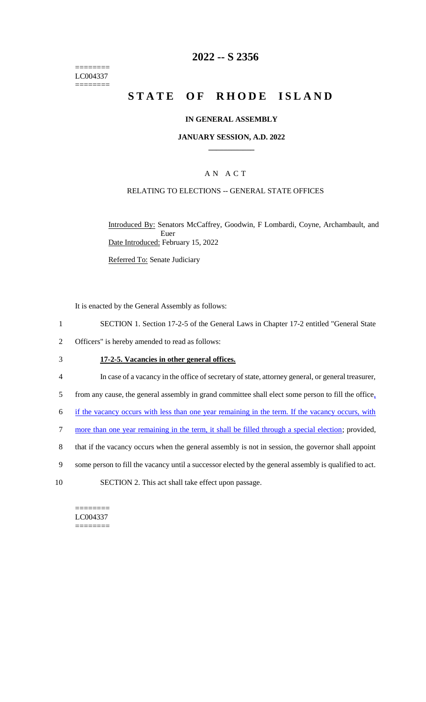======== LC004337 ========

# **2022 -- S 2356**

# **STATE OF RHODE ISLAND**

#### **IN GENERAL ASSEMBLY**

#### **JANUARY SESSION, A.D. 2022 \_\_\_\_\_\_\_\_\_\_\_\_**

# A N A C T

### RELATING TO ELECTIONS -- GENERAL STATE OFFICES

Introduced By: Senators McCaffrey, Goodwin, F Lombardi, Coyne, Archambault, and Euer Date Introduced: February 15, 2022

Referred To: Senate Judiciary

It is enacted by the General Assembly as follows:

- 1 SECTION 1. Section 17-2-5 of the General Laws in Chapter 17-2 entitled "General State
- 2 Officers" is hereby amended to read as follows:

#### 3 **17-2-5. Vacancies in other general offices.**

- 4 In case of a vacancy in the office of secretary of state, attorney general, or general treasurer,
- 5 from any cause, the general assembly in grand committee shall elect some person to fill the office,
- 6 if the vacancy occurs with less than one year remaining in the term. If the vacancy occurs, with
- 7 more than one year remaining in the term, it shall be filled through a special election; provided,
- 8 that if the vacancy occurs when the general assembly is not in session, the governor shall appoint
- 9 some person to fill the vacancy until a successor elected by the general assembly is qualified to act.
- 10 SECTION 2. This act shall take effect upon passage.

======== LC004337 ========